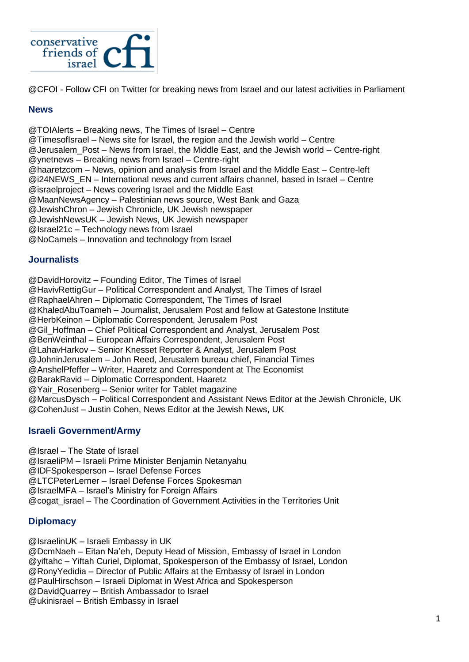

@CFOI - Follow CFI on Twitter for breaking news from Israel and our latest activities in Parliament

#### **News**

@TOIAlerts – Breaking news, The Times of Israel – Centre @TimesofIsrael – News site for Israel, the region and the Jewish world – Centre @Jerusalem\_Post – News from Israel, the Middle East, and the Jewish world – Centre-right @ynetnews – Breaking news from Israel – Centre-right @haaretzcom – News, opinion and analysis from Israel and the Middle East – Centre-left @i24NEWS\_EN – International news and current affairs channel, based in Israel – Centre @israelproject – News covering Israel and the Middle East @MaanNewsAgency – Palestinian news source, West Bank and Gaza @JewishChron – Jewish Chronicle, UK Jewish newspaper @JewishNewsUK – Jewish News, UK Jewish newspaper @Israel21c – Technology news from Israel @NoCamels – Innovation and technology from Israel

#### **Journalists**

@DavidHorovitz – Founding Editor, The Times of Israel

@HavivRettigGur – Political Correspondent and Analyst, The Times of Israel

@RaphaelAhren – Diplomatic Correspondent, The Times of Israel @KhaledAbuToameh – Journalist, Jerusalem Post and fellow at Gatestone Institute @HerbKeinon – Diplomatic Correspondent, Jerusalem Post @Gil\_Hoffman – Chief Political Correspondent and Analyst, Jerusalem Post @BenWeinthal – European Affairs Correspondent, Jerusalem Post @LahavHarkov – Senior Knesset Reporter & Analyst, Jerusalem Post @JohninJerusalem – John Reed, Jerusalem bureau chief, Financial Times @AnshelPfeffer – Writer, Haaretz and Correspondent at The Economist @BarakRavid – Diplomatic Correspondent, Haaretz @Yair\_Rosenberg – Senior writer for Tablet magazine @MarcusDysch – Political Correspondent and Assistant News Editor at the Jewish Chronicle, UK @CohenJust – Justin Cohen, News Editor at the Jewish News, UK

### **Israeli Government/Army**

@Israel – The State of Israel @IsraeliPM – Israeli Prime Minister Benjamin Netanyahu @IDFSpokesperson – Israel Defense Forces @LTCPeterLerner – Israel Defense Forces Spokesman @IsraelMFA – Israel's Ministry for Foreign Affairs @cogat\_israel – The Coordination of Government Activities in the Territories Unit

### **Diplomacy**

@IsraelinUK – Israeli Embassy in UK

@DcmNaeh – Eitan Na'eh, Deputy Head of Mission, Embassy of Israel in London @yiftahc – Yiftah Curiel, Diplomat, Spokesperson of the Embassy of Israel, London @RonyYedidia – Director of Public Affairs at the Embassy of Israel in London @PaulHirschson – Israeli Diplomat in West Africa and Spokesperson @DavidQuarrey – British Ambassador to Israel @ukinisrael – British Embassy in Israel